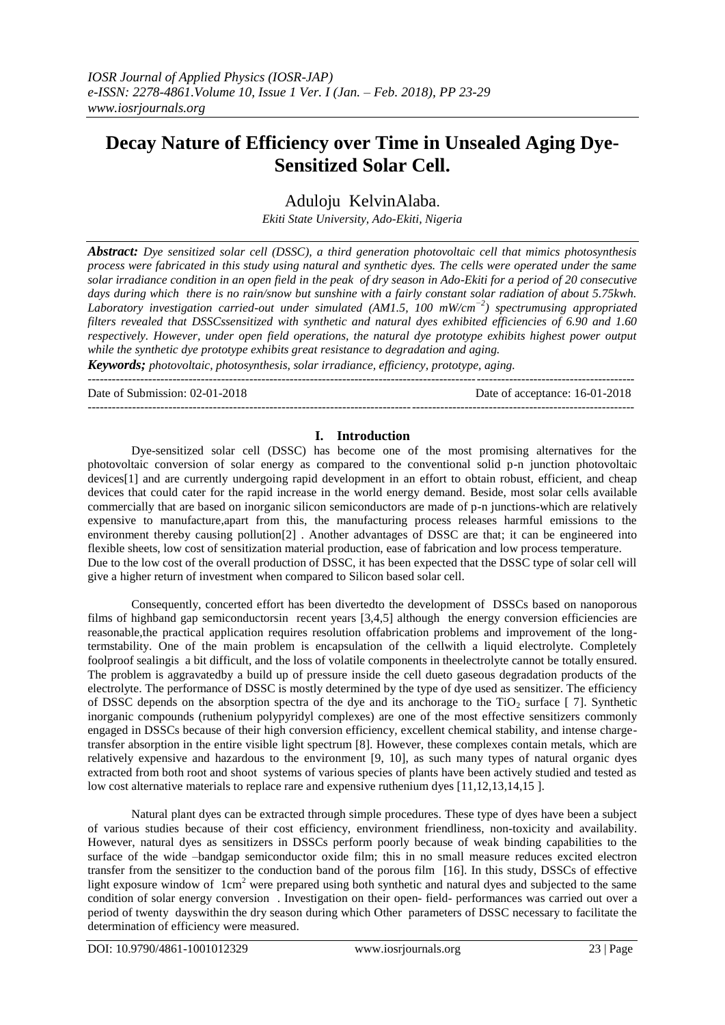# **Decay Nature of Efficiency over Time in Unsealed Aging Dye-Sensitized Solar Cell.**

Aduloju KelvinAlaba.

*Ekiti State University, Ado-Ekiti, Nigeria*

*Abstract: Dye sensitized solar cell (DSSC), a third generation photovoltaic cell that mimics photosynthesis process were fabricated in this study using natural and synthetic dyes. The cells were operated under the same solar irradiance condition in an open field in the peak of dry season in Ado-Ekiti for a period of 20 consecutive days during which there is no rain/snow but sunshine with a fairly constant solar radiation of about 5.75kwh. Laboratory investigation carried-out under simulated (AM1.5, 100 mW/cm−2 ) spectrumusing appropriated filters revealed that DSSCssensitized with synthetic and natural dyes exhibited efficiencies of 6.90 and 1.60 respectively. However, under open field operations, the natural dye prototype exhibits highest power output while the synthetic dye prototype exhibits great resistance to degradation and aging.*

*Keywords; photovoltaic, photosynthesis, solar irradiance, efficiency, prototype, aging.* ---------------------------------------------------------------------------------------------------------------------------------------

Date of Submission: 02-01-2018 Date of acceptance: 16-01-2018

## **I. Introduction**

---------------------------------------------------------------------------------------------------------------------------------------

Dye-sensitized solar cell (DSSC) has become one of the most promising alternatives for the photovoltaic conversion of solar energy as compared to the conventional solid p-n junction photovoltaic devices<sup>[1]</sup> and are currently undergoing rapid development in an effort to obtain robust, efficient, and cheap devices that could cater for the rapid increase in the world energy demand. Beside, most solar cells available commercially that are based on inorganic silicon semiconductors are made of p-n junctions-which are relatively expensive to manufacture,apart from this, the manufacturing process releases harmful emissions to the environment thereby causing pollution<sup>[2]</sup>. Another advantages of DSSC are that; it can be engineered into flexible sheets, low cost of sensitization material production, ease of fabrication and low process temperature. Due to the low cost of the overall production of DSSC, it has been expected that the DSSC type of solar cell will give a higher return of investment when compared to Silicon based solar cell.

Consequently, concerted effort has been divertedto the development of DSSCs based on nanoporous films of highband gap semiconductorsin recent years [3,4,5] although the energy conversion efficiencies are reasonable,the practical application requires resolution offabrication problems and improvement of the longtermstability. One of the main problem is encapsulation of the cellwith a liquid electrolyte. Completely foolproof sealingis a bit difficult, and the loss of volatile components in theelectrolyte cannot be totally ensured. The problem is aggravatedby a build up of pressure inside the cell dueto gaseous degradation products of the electrolyte. The performance of DSSC is mostly determined by the type of dye used as sensitizer. The efficiency of DSSC depends on the absorption spectra of the dye and its anchorage to the TiO<sub>2</sub> surface [7]. Synthetic inorganic compounds (ruthenium polypyridyl complexes) are one of the most effective sensitizers commonly engaged in DSSCs because of their high conversion efficiency, excellent chemical stability, and intense chargetransfer absorption in the entire visible light spectrum [8]. However, these complexes contain metals, which are relatively expensive and hazardous to the environment [9, 10], as such many types of natural organic dyes extracted from both root and shoot systems of various species of plants have been actively studied and tested as low cost alternative materials to replace rare and expensive ruthenium dyes [11,12,13,14,15 ].

Natural plant dyes can be extracted through simple procedures. These type of dyes have been a subject of various studies because of their cost efficiency, environment friendliness, non-toxicity and availability. However, natural dyes as sensitizers in DSSCs perform poorly because of weak binding capabilities to the surface of the wide –bandgap semiconductor oxide film; this in no small measure reduces excited electron transfer from the sensitizer to the conduction band of the porous film [16]. In this study, DSSCs of effective light exposure window of 1cm<sup>2</sup> were prepared using both synthetic and natural dyes and subjected to the same condition of solar energy conversion . Investigation on their open- field- performances was carried out over a period of twenty dayswithin the dry season during which Other parameters of DSSC necessary to facilitate the determination of efficiency were measured.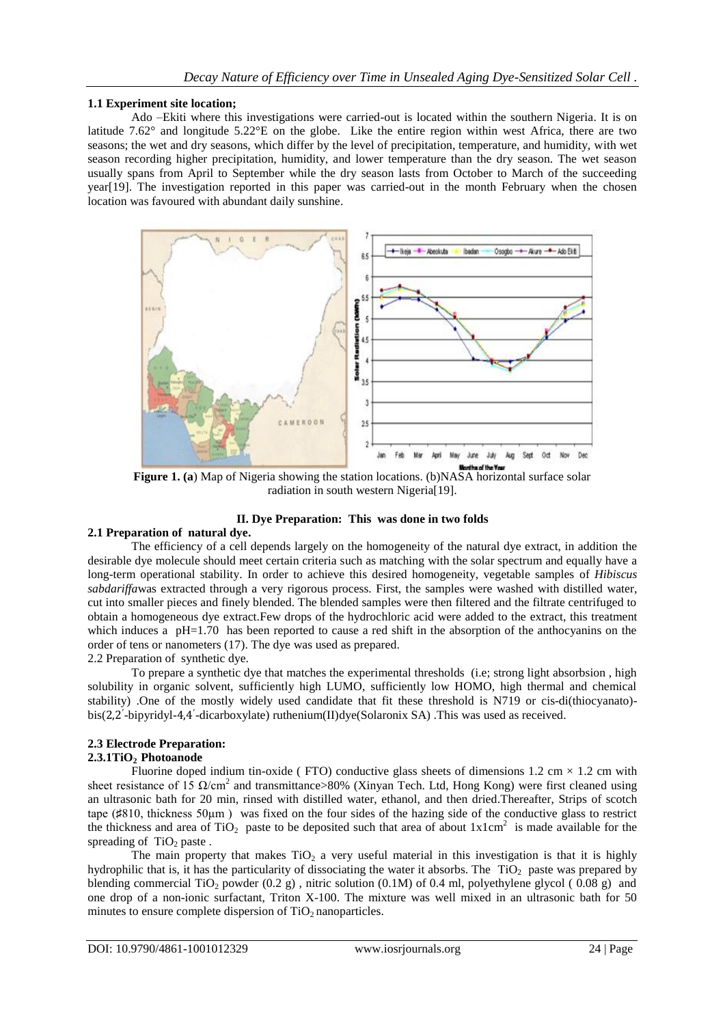# **1.1 Experiment site location;**

Ado –Ekiti where this investigations were carried-out is located within the southern Nigeria. It is on latitude 7.62° and longitude 5.22°E on the globe. Like the entire region within west Africa, there are two seasons; the wet and dry seasons, which differ by the level of precipitation, temperature, and humidity, with wet season recording higher precipitation, humidity, and lower temperature than the dry season. The wet season usually spans from April to September while the dry season lasts from October to March of the succeeding year[19]. The investigation reported in this paper was carried-out in the month February when the chosen location was favoured with abundant daily sunshine.



Figure 1. (a) Map of Nigeria showing the station locations. (b)NASA horizontal surface solar radiation in south western Nigeria[19].

# **II. Dye Preparation: This was done in two folds**

# **2.1 Preparation of natural dye.**

The efficiency of a cell depends largely on the homogeneity of the natural dye extract, in addition the desirable dye molecule should meet certain criteria such as matching with the solar spectrum and equally have a long-term operational stability. In order to achieve this desired homogeneity, vegetable samples of *Hibiscus sabdariffa*was extracted through a very rigorous process. First, the samples were washed with distilled water, cut into smaller pieces and finely blended. The blended samples were then filtered and the filtrate centrifuged to obtain a homogeneous dye extract.Few drops of the hydrochloric acid were added to the extract, this treatment which induces a pH=1.70 has been reported to cause a red shift in the absorption of the anthocyanins on the order of tens or nanometers (17). The dye was used as prepared.

2.2 Preparation of synthetic dye.

To prepare a synthetic dye that matches the experimental thresholds (i.e; strong light absorbsion , high solubility in organic solvent, sufficiently high LUMO, sufficiently low HOMO, high thermal and chemical stability) .One of the mostly widely used candidate that fit these threshold is N719 or cis-di(thiocyanato) bis(2,2'-bipyridyl-4,4'-dicarboxylate) ruthenium(II)dye(Solaronix SA) .This was used as received.

# **2.3 Electrode Preparation:**

# **2.3.1TiO2 Photoanode**

Fluorine doped indium tin-oxide (FTO) conductive glass sheets of dimensions 1.2 cm  $\times$  1.2 cm with sheet resistance of 15  $\Omega/cm^2$  and transmittance>80% (Xinyan Tech. Ltd, Hong Kong) were first cleaned using an ultrasonic bath for 20 min, rinsed with distilled water, ethanol, and then dried.Thereafter, Strips of scotch tape (♯810, thickness 50μm ) was fixed on the four sides of the hazing side of the conductive glass to restrict the thickness and area of  $TiO<sub>2</sub>$  paste to be deposited such that area of about  $1x1cm<sup>2</sup>$  is made available for the spreading of  $TiO<sub>2</sub>$  paste.

The main property that makes  $TiO<sub>2</sub>$  a very useful material in this investigation is that it is highly hydrophilic that is, it has the particularity of dissociating the water it absorbs. The  $TiO<sub>2</sub>$  paste was prepared by blending commercial TiO<sub>2</sub> powder (0.2 g), nitric solution (0.1M) of 0.4 ml, polyethylene glycol (0.08 g) and one drop of a non-ionic surfactant, Triton X-100. The mixture was well mixed in an ultrasonic bath for 50 minutes to ensure complete dispersion of  $TiO<sub>2</sub>$  nanoparticles.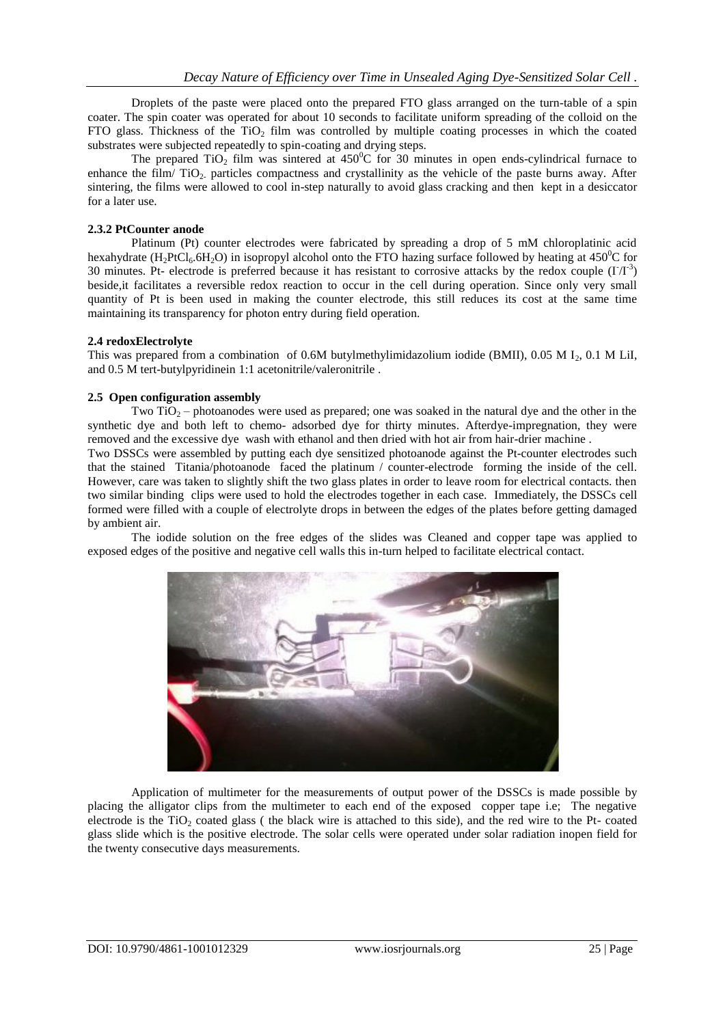Droplets of the paste were placed onto the prepared FTO glass arranged on the turn-table of a spin coater. The spin coater was operated for about 10 seconds to facilitate uniform spreading of the colloid on the FTO glass. Thickness of the TiO<sub>2</sub> film was controlled by multiple coating processes in which the coated substrates were subjected repeatedly to spin-coating and drying steps.

The prepared  $TiO<sub>2</sub>$  film was sintered at  $450^{\circ}$ C for 30 minutes in open ends-cylindrical furnace to enhance the film/ $TiO<sub>2</sub>$  particles compactness and crystallinity as the vehicle of the paste burns away. After sintering, the films were allowed to cool in-step naturally to avoid glass cracking and then kept in a desiccator for a later use.

# **2.3.2 PtCounter anode**

Platinum (Pt) counter electrodes were fabricated by spreading a drop of 5 mM chloroplatinic acid hexahydrate (H<sub>2</sub>PtCl<sub>6</sub>.6H<sub>2</sub>O) in isopropyl alcohol onto the FTO hazing surface followed by heating at 450<sup>°</sup>C for 30 minutes. Pt- electrode is preferred because it has resistant to corrosive attacks by the redox couple  $(I/I^3)$ beside,it facilitates a reversible redox reaction to occur in the cell during operation. Since only very small quantity of Pt is been used in making the counter electrode, this still reduces its cost at the same time maintaining its transparency for photon entry during field operation.

# **2.4 redoxElectrolyte**

This was prepared from a combination of  $0.6M$  butylmethylimidazolium iodide (BMII),  $0.05 M$  I<sub>2</sub>,  $0.1 M$  LiI, and 0.5 M tert-butylpyridinein 1:1 acetonitrile/valeronitrile .

# **2.5 Open configuration assembly**

Two  $TiO<sub>2</sub>$  – photoanodes were used as prepared; one was soaked in the natural dye and the other in the synthetic dye and both left to chemo- adsorbed dye for thirty minutes. Afterdye-impregnation, they were removed and the excessive dye wash with ethanol and then dried with hot air from hair-drier machine .

Two DSSCs were assembled by putting each dye sensitized photoanode against the Pt-counter electrodes such that the stained Titania/photoanode faced the platinum / counter-electrode forming the inside of the cell. However, care was taken to slightly shift the two glass plates in order to leave room for electrical contacts. then two similar binding clips were used to hold the electrodes together in each case. Immediately, the DSSCs cell formed were filled with a couple of electrolyte drops in between the edges of the plates before getting damaged by ambient air.

The iodide solution on the free edges of the slides was Cleaned and copper tape was applied to exposed edges of the positive and negative cell walls this in-turn helped to facilitate electrical contact.



Application of multimeter for the measurements of output power of the DSSCs is made possible by placing the alligator clips from the multimeter to each end of the exposed copper tape i.e; The negative electrode is the  $TiO<sub>2</sub>$  coated glass ( the black wire is attached to this side), and the red wire to the Pt-coated glass slide which is the positive electrode. The solar cells were operated under solar radiation inopen field for the twenty consecutive days measurements.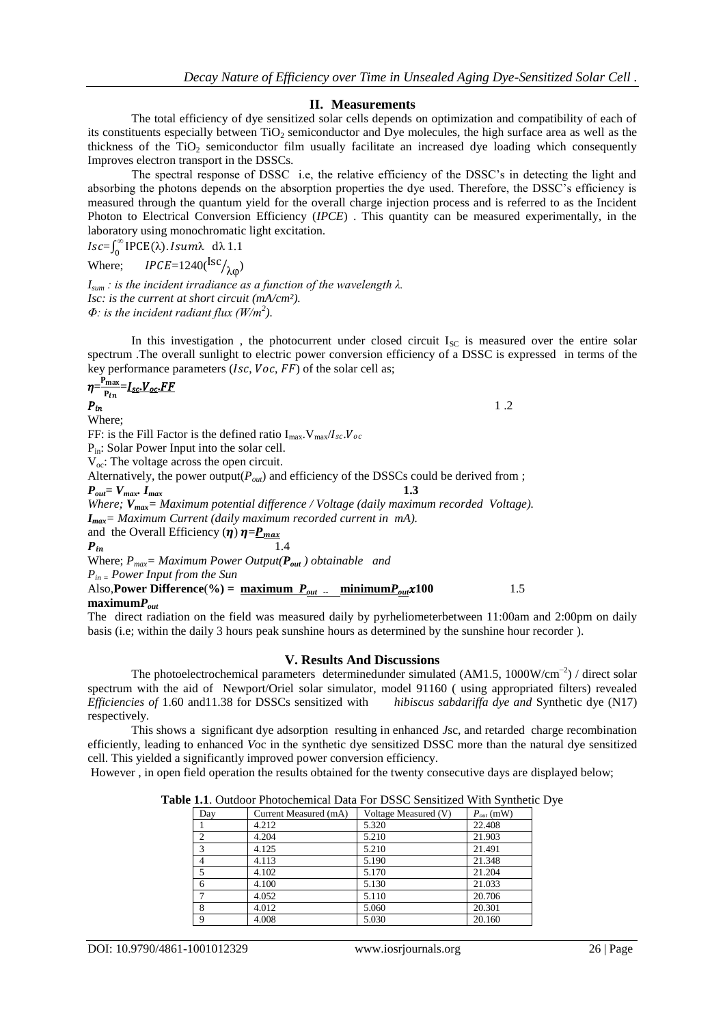# **II. Measurements**

The total efficiency of dye sensitized solar cells depends on optimization and compatibility of each of its constituents especially between  $TiO<sub>2</sub>$  semiconductor and Dye molecules, the high surface area as well as the thickness of the  $TiO<sub>2</sub>$  semiconductor film usually facilitate an increased dye loading which consequently Improves electron transport in the DSSCs.

The spectral response of DSSC i.e, the relative efficiency of the DSSC"s in detecting the light and absorbing the photons depends on the absorption properties the dye used. Therefore, the DSSC"s efficiency is measured through the quantum yield for the overall charge injection process and is referred to as the Incident Photon to Electrical Conversion Efficiency (*IPCE*) . This quantity can be measured experimentally, in the laboratory using monochromatic light excitation.

 $Isc = \int_0^\infty$  IPCE(λ). Isumλ dλ  $\int_{0}^{\infty}$ IPCE( $\lambda$ ). Isum $\lambda$  d $\lambda$  1.1

Where;  $IPCE=1240({\rm lsc}_{\lambda\phi})$ 

*Isum : is the incident irradiance as a function of the wavelength λ. Isc: is the current at short circuit (mA/cm²). Φ: is the incident radiant flux (W/m<sup>2</sup> ).* 

In this investigation, the photocurrent under closed circuit  $I_{SC}$  is measured over the entire solar spectrum .The overall sunlight to electric power conversion efficiency of a DSSC is expressed in terms of the key performance parameters ( $Isc, Voc, FF$ ) of the solar cell as;

#### $\eta = \frac{r_{\text{max}}}{P_{in}}$  $\frac{\text{P}_{\text{max}}}{\text{P}} = I_{sc} V_{oc} F F$

 $P_{in}$  1.2 Where;

FF: is the Fill Factor is the defined ratio  $I_{\text{max}}$ .  $V_{\text{max}}/I_{\text{sc}}$ .  $V_{oc}$ 

Pin: Solar Power Input into the solar cell.

V<sub>oc</sub>: The voltage across the open circuit.

Alternatively, the power output( $P_{out}$ ) and efficiency of the DSSCs could be derived from ;

 $P_{out} = V_{max} I_{max}$  1.3

*Where; Vmax= Maximum potential difference / Voltage (daily maximum recorded Voltage).* 

*Imax= Maximum Current (daily maximum recorded current in mA).* 

and the Overall Efficiency ( $\eta$ )  $\eta = P_{max}$ 

 $P_{in}$  1.4

Where; *Pmax= Maximum Power Output(Pout ) obtainable and* 

*Pin <sup>=</sup> Power Input from the Sun* 

Also,Power Difference(%) =  $\frac{\text{maximum } P_{out}}{\text{...}}$   $\frac{\text{minimum}}{\text{...}}$   $\frac{P_{out}}{\text{...}}$  1.5 **maximum***Pout*

The direct radiation on the field was measured daily by pyrheliometerbetween 11:00am and 2:00pm on daily basis (i.e; within the daily 3 hours peak sunshine hours as determined by the sunshine hour recorder ).

# **V. Results And Discussions**

The photoelectrochemical parameters determinedunder simulated (AM1.5, 1000W/cm<sup>-2</sup>) / direct solar spectrum with the aid of Newport/Oriel solar simulator, model 91160 ( using appropriated filters) revealed *Efficiencies of* 1.60 and11.38 for DSSCs sensitized with *hibiscus sabdariffa dye and* Synthetic dye (N17) respectively.

This shows a significant dye adsorption resulting in enhanced *J*sc, and retarded charge recombination efficiently, leading to enhanced *V*oc in the synthetic dye sensitized DSSC more than the natural dye sensitized cell. This yielded a significantly improved power conversion efficiency.

However , in open field operation the results obtained for the twenty consecutive days are displayed below;

| Day           | Current Measured (mA) | Voltage Measured (V) | $P_{out}$ (mW) |
|---------------|-----------------------|----------------------|----------------|
|               | 4.212                 | 5.320                | 22.408         |
| $\mathcal{L}$ | 4.204                 | 5.210                | 21.903         |
| 3             | 4.125                 | 5.210                | 21.491         |
| 4             | 4.113                 | 5.190                | 21.348         |
| 5             | 4.102                 | 5.170                | 21.204         |
| 6             | 4.100                 | 5.130                | 21.033         |
|               | 4.052                 | 5.110                | 20.706         |
| 8             | 4.012                 | 5.060                | 20.301         |
| 9             | 4.008                 | 5.030                | 20.160         |

**Table 1.1**. Outdoor Photochemical Data For DSSC Sensitized With Synthetic Dye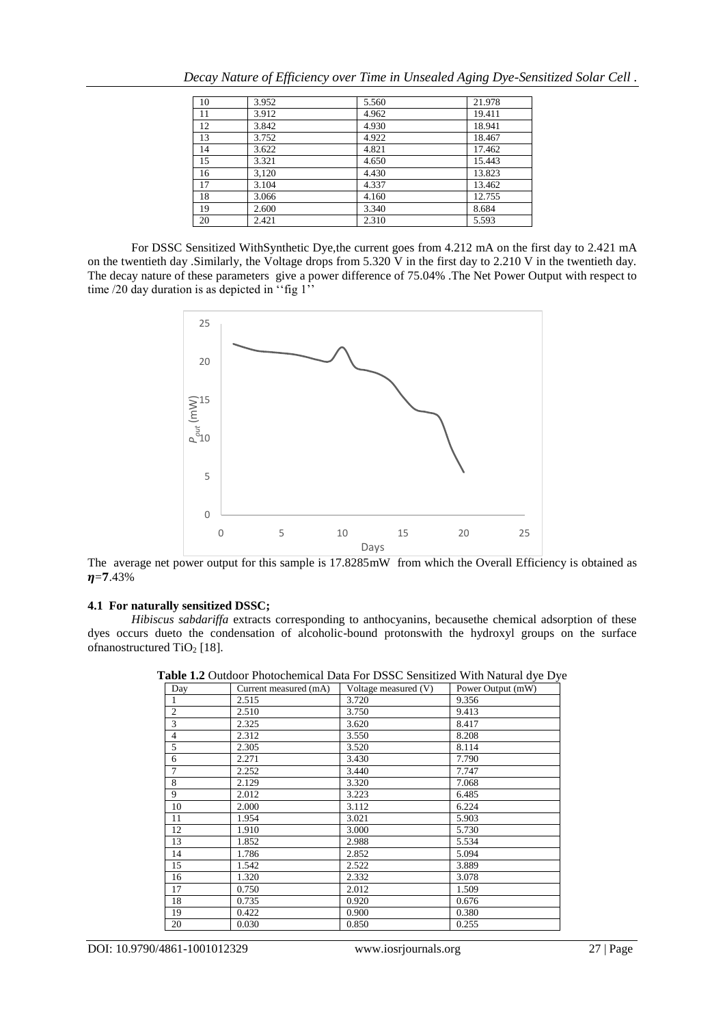| 10 | 3.952 | 5.560 | 21.978 |
|----|-------|-------|--------|
| 11 | 3.912 | 4.962 | 19.411 |
| 12 | 3.842 | 4.930 | 18.941 |
| 13 | 3.752 | 4.922 | 18.467 |
| 14 | 3.622 | 4.821 | 17.462 |
| 15 | 3.321 | 4.650 | 15.443 |
| 16 | 3,120 | 4.430 | 13.823 |
| 17 | 3.104 | 4.337 | 13.462 |
| 18 | 3.066 | 4.160 | 12.755 |
| 19 | 2.600 | 3.340 | 8.684  |
| 20 | 2.421 | 2.310 | 5.593  |

*Decay Nature of Efficiency over Time in Unsealed Aging Dye-Sensitized Solar Cell .*

For DSSC Sensitized WithSynthetic Dye,the current goes from 4.212 mA on the first day to 2.421 mA on the twentieth day .Similarly, the Voltage drops from 5.320 V in the first day to 2.210 V in the twentieth day. The decay nature of these parameters give a power difference of 75.04% .The Net Power Output with respect to time /20 day duration is as depicted in "fig  $1$ "



The average net power output for this sample is 17.8285mW from which the Overall Efficiency is obtained as  $\eta = 7.43\%$ 

## **4.1 For naturally sensitized DSSC;**

*Hibiscus sabdariffa* extracts corresponding to anthocyanins, becausethe chemical adsorption of these dyes occurs dueto the condensation of alcoholic-bound protonswith the hydroxyl groups on the surface ofnanostructured TiO<sub>2</sub> [18].

| Day            | Current measured (mA) | Voltage measured (V) | Power Output (mW) |
|----------------|-----------------------|----------------------|-------------------|
| 1              | 2.515                 | 3.720                | 9.356             |
| $\overline{2}$ | 2.510                 | 3.750                | 9.413             |
| 3              | 2.325                 | 3.620                | 8.417             |
| $\overline{4}$ | 2.312                 | 3.550                | 8.208             |
| 5              | 2.305                 | 3.520                | 8.114             |
| 6              | 2.271                 | 3.430                | 7.790             |
| $\overline{7}$ | 2.252                 | 3.440                | 7.747             |
| 8              | 2.129                 | 3.320                | 7.068             |
| 9              | 2.012                 | 3.223                | 6.485             |
| 10             | 2.000                 | 3.112                | 6.224             |
| 11             | 1.954                 | 3.021                | 5.903             |
| 12             | 1.910                 | 3.000                | 5.730             |
| 13             | 1.852                 | 2.988                | 5.534             |
| 14             | 1.786                 | 2.852                | 5.094             |
| 15             | 1.542                 | 2.522                | 3.889             |
| 16             | 1.320                 | 2.332                | 3.078             |
| 17             | 0.750                 | 2.012                | 1.509             |
| 18             | 0.735                 | 0.920                | 0.676             |
| 19             | 0.422                 | 0.900                | 0.380             |
| 20             | 0.030                 | 0.850                | 0.255             |

**Table 1.2** Outdoor Photochemical Data For DSSC Sensitized With Natural dye Dye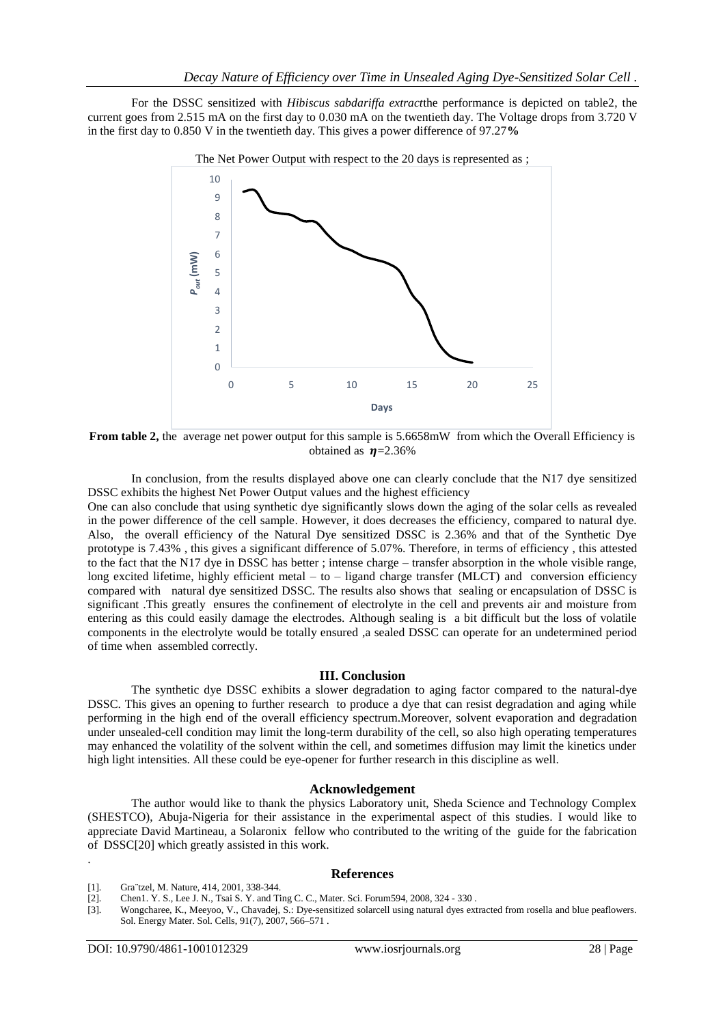For the DSSC sensitized with *Hibiscus sabdariffa extract*the performance is depicted on table2, the current goes from 2.515 mA on the first day to 0.030 mA on the twentieth day. The Voltage drops from 3.720 V in the first day to 0.850 V in the twentieth day. This gives a power difference of 97.27**%** 



**From table 2,** the average net power output for this sample is 5.6658mW from which the Overall Efficiency is obtained as  $\eta$ =2.36%

In conclusion, from the results displayed above one can clearly conclude that the N17 dye sensitized DSSC exhibits the highest Net Power Output values and the highest efficiency

One can also conclude that using synthetic dye significantly slows down the aging of the solar cells as revealed in the power difference of the cell sample. However, it does decreases the efficiency, compared to natural dye. Also, the overall efficiency of the Natural Dye sensitized DSSC is 2.36% and that of the Synthetic Dye prototype is 7.43% , this gives a significant difference of 5.07%. Therefore, in terms of efficiency , this attested to the fact that the N17 dye in DSSC has better ; intense charge – transfer absorption in the whole visible range, long excited lifetime, highly efficient metal – to – ligand charge transfer (MLCT) and conversion efficiency compared with natural dye sensitized DSSC. The results also shows that sealing or encapsulation of DSSC is significant .This greatly ensures the confinement of electrolyte in the cell and prevents air and moisture from entering as this could easily damage the electrodes. Although sealing is a bit difficult but the loss of volatile components in the electrolyte would be totally ensured ,a sealed DSSC can operate for an undetermined period of time when assembled correctly.

#### **III. Conclusion**

The synthetic dye DSSC exhibits a slower degradation to aging factor compared to the natural-dye DSSC. This gives an opening to further research to produce a dye that can resist degradation and aging while performing in the high end of the overall efficiency spectrum.Moreover, solvent evaporation and degradation under unsealed-cell condition may limit the long-term durability of the cell, so also high operating temperatures may enhanced the volatility of the solvent within the cell, and sometimes diffusion may limit the kinetics under high light intensities. All these could be eye-opener for further research in this discipline as well.

#### **Acknowledgement**

The author would like to thank the physics Laboratory unit, Sheda Science and Technology Complex (SHESTCO), Abuja-Nigeria for their assistance in the experimental aspect of this studies. I would like to appreciate David Martineau, a Solaronix fellow who contributed to the writing of the guide for the fabrication of DSSC[20] which greatly assisted in this work.

#### **References**

- [1]. Gra¨tzel, M. Nature, 414, 2001, 338-344.
- [2]. Chen1. Y. S., Lee J. N., Tsai S. Y. and Ting C. C., Mater. Sci. Forum594, 2008, 324 330. [3]. Wongcharee, K., Meeyoo, V., Chavadej, S.: Dye-sensitized solarcell using natural dyes ext
- Wongcharee, K., Meeyoo, V., Chavadej, S.: Dye-sensitized solarcell using natural dyes extracted from rosella and blue peaflowers. Sol. Energy Mater. Sol. Cells, 91(7), 2007, 566–571 .

.